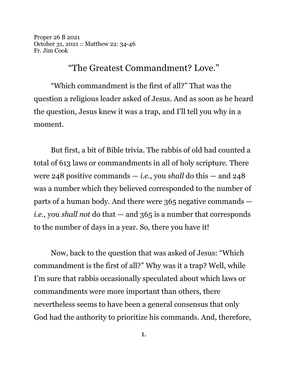Proper 26 B 2021 October 31, 2021 :: Matthew 22: 34-46 Fr. Jim Cook

## "The Greatest Commandment? Love."

"Which commandment is the first of all?" That was the question a religious leader asked of Jesus. And as soon as he heard the question, Jesus knew it was a trap, and I'll tell you why in a moment.

But first, a bit of Bible trivia. The rabbis of old had counted a total of 613 laws or commandments in all of holy scripture. There were 248 positive commands — *i.e.*, you *shall* do this — and 248 was a number which they believed corresponded to the number of parts of a human body. And there were 365 negative commands *i.e.*, you *shall not* do that — and 365 is a number that corresponds to the number of days in a year. So, there you have it!

Now, back to the question that was asked of Jesus: "Which commandment is the first of all?" Why was it a trap? Well, while I'm sure that rabbis occasionally speculated about which laws or commandments were more important than others, there nevertheless seems to have been a general consensus that only God had the authority to prioritize his commands. And, therefore,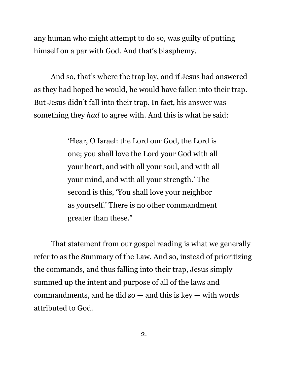any human who might attempt to do so, was guilty of putting himself on a par with God. And that's blasphemy.

And so, that's where the trap lay, and if Jesus had answered as they had hoped he would, he would have fallen into their trap. But Jesus didn't fall into their trap. In fact, his answer was something they *had* to agree with. And this is what he said:

> 'Hear, O Israel: the Lord our God, the Lord is one; you shall love the Lord your God with all your heart, and with all your soul, and with all your mind, and with all your strength.' The second is this, 'You shall love your neighbor as yourself.' There is no other commandment greater than these."

That statement from our gospel reading is what we generally refer to as the Summary of the Law. And so, instead of prioritizing the commands, and thus falling into their trap, Jesus simply summed up the intent and purpose of all of the laws and commandments, and he did so  $-$  and this is key  $-$  with words attributed to God.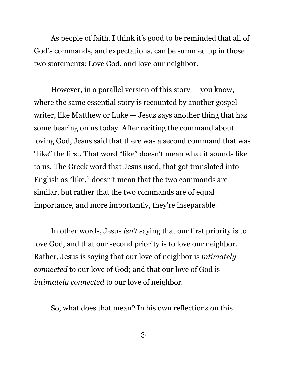As people of faith, I think it's good to be reminded that all of God's commands, and expectations, can be summed up in those two statements: Love God, and love our neighbor.

However, in a parallel version of this story  $-$  you know, where the same essential story is recounted by another gospel writer, like Matthew or Luke — Jesus says another thing that has some bearing on us today. After reciting the command about loving God, Jesus said that there was a second command that was "like" the first. That word "like" doesn't mean what it sounds like to us. The Greek word that Jesus used, that got translated into English as "like," doesn't mean that the two commands are similar, but rather that the two commands are of equal importance, and more importantly, they're inseparable.

In other words, Jesus *isn't* saying that our first priority is to love God, and that our second priority is to love our neighbor. Rather, Jesus is saying that our love of neighbor is *intimately connected* to our love of God; and that our love of God is *intimately connected* to our love of neighbor.

So, what does that mean? In his own reflections on this

3.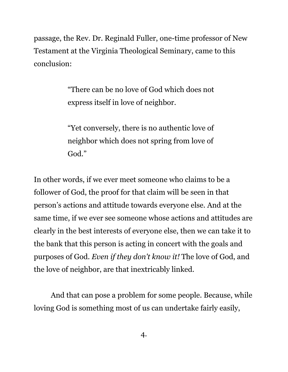passage, the Rev. Dr. Reginald Fuller, one-time professor of New Testament at the Virginia Theological Seminary, came to this conclusion:

> "There can be no love of God which does not express itself in love of neighbor.

> "Yet conversely, there is no authentic love of neighbor which does not spring from love of God."

In other words, if we ever meet someone who claims to be a follower of God, the proof for that claim will be seen in that person's actions and attitude towards everyone else. And at the same time, if we ever see someone whose actions and attitudes are clearly in the best interests of everyone else, then we can take it to the bank that this person is acting in concert with the goals and purposes of God. *Even if they don't know it!* The love of God, and the love of neighbor, are that inextricably linked.

And that can pose a problem for some people. Because, while loving God is something most of us can undertake fairly easily,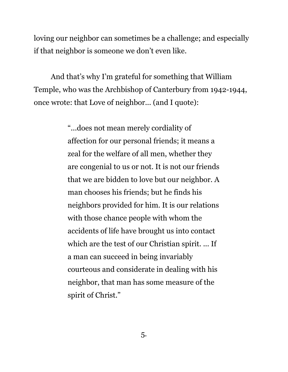loving our neighbor can sometimes be a challenge; and especially if that neighbor is someone we don't even like.

And that's why I'm grateful for something that William Temple, who was the Archbishop of Canterbury from 1942-1944, once wrote: that Love of neighbor... (and I quote):

> "...does not mean merely cordiality of affection for our personal friends; it means a zeal for the welfare of all men, whether they are congenial to us or not. It is not our friends that we are bidden to love but our neighbor. A man chooses his friends; but he finds his neighbors provided for him. It is our relations with those chance people with whom the accidents of life have brought us into contact which are the test of our Christian spirit. ... If a man can succeed in being invariably courteous and considerate in dealing with his neighbor, that man has some measure of the spirit of Christ."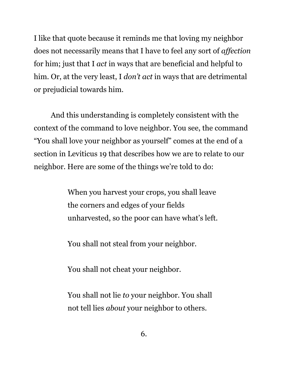I like that quote because it reminds me that loving my neighbor does not necessarily means that I have to feel any sort of *affection* for him; just that I *act* in ways that are beneficial and helpful to him. Or, at the very least, I *don't act* in ways that are detrimental or prejudicial towards him.

And this understanding is completely consistent with the context of the command to love neighbor. You see, the command "You shall love your neighbor as yourself" comes at the end of a section in Leviticus 19 that describes how we are to relate to our neighbor. Here are some of the things we're told to do:

> When you harvest your crops, you shall leave the corners and edges of your fields unharvested, so the poor can have what's left.

You shall not steal from your neighbor.

You shall not cheat your neighbor.

You shall not lie *to* your neighbor. You shall not tell lies *about* your neighbor to others.

6.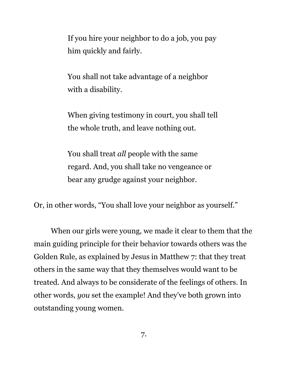If you hire your neighbor to do a job, you pay him quickly and fairly.

You shall not take advantage of a neighbor with a disability.

When giving testimony in court, you shall tell the whole truth, and leave nothing out.

You shall treat *all* people with the same regard. And, you shall take no vengeance or bear any grudge against your neighbor.

Or, in other words, "You shall love your neighbor as yourself."

When our girls were young, we made it clear to them that the main guiding principle for their behavior towards others was the Golden Rule, as explained by Jesus in Matthew 7: that they treat others in the same way that they themselves would want to be treated. And always to be considerate of the feelings of others. In other words, *you* set the example! And they've both grown into outstanding young women.